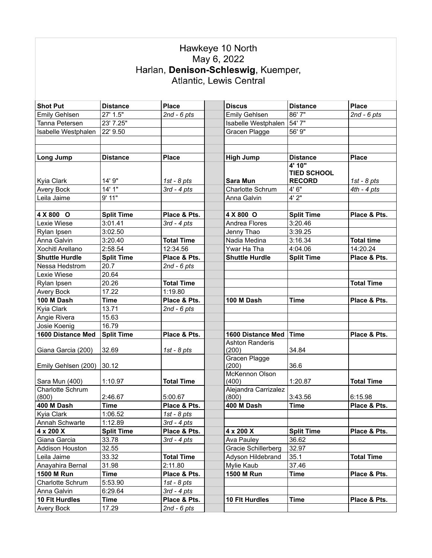## Hawkeye 10 North<br>May 6, 2022<br>Harlan, Denison-Schleswig, Kuemper,<br>Atlantic, Lewis Central

| <b>Shot Put</b>         | <b>Distance</b>   | <b>Place</b>      | <b>Discus</b>           | <b>Distance</b>    | <b>Place</b>      |
|-------------------------|-------------------|-------------------|-------------------------|--------------------|-------------------|
| Emily Gehlsen           | 27' 1.5"          | $2nd - 6pts$      | Emily Gehlsen           | 86'7"              | $2nd - 6pts$      |
| Tanna Petersen          | 23' 7.25"         |                   | Isabelle Westphalen     | 54' 7"             |                   |
| Isabelle Westphalen     | 22' 9.50          |                   | Gracen Plagge           | 56' 9"             |                   |
|                         |                   |                   |                         |                    |                   |
|                         |                   |                   |                         |                    |                   |
| <b>Long Jump</b>        | <b>Distance</b>   | <b>Place</b>      | <b>High Jump</b>        | <b>Distance</b>    | <b>Place</b>      |
|                         |                   |                   |                         | 4'10"              |                   |
|                         |                   |                   |                         | <b>TIED SCHOOL</b> |                   |
| Kyia Clark              | 14' 9"            | 1st - $8$ pts     | Sara Mun                | <b>RECORD</b>      | 1st - $8$ pts     |
| Avery Bock              | 14'1''            | $3rd - 4pts$      | Charlotte Schrum        | 4'6''              | $4th - 4pts$      |
| Leila Jaime             | 9'11"             |                   | Anna Galvin             | 4'2"               |                   |
|                         |                   |                   |                         |                    |                   |
| 4 X 800 O               | <b>Split Time</b> | Place & Pts.      | 4 X 800 O               | <b>Split Time</b>  | Place & Pts.      |
| Lexie Wiese             | 3:01.41           | $3rd - 4pts$      | Andrea Flores           | 3:20.46            |                   |
| Rylan Ipsen             | 3:02.50           |                   | Jenny Thao              | 3:39.25            |                   |
| Anna Galvin             | 3:20.40           | <b>Total Time</b> | Nadia Medina            | 3:16.34            | <b>Total time</b> |
| <b>Xochitl Arellano</b> | 2:58.54           | 12:34.56          | Ywar Ha Tha             | 4:04.06            | 14:20.24          |
| <b>Shuttle Hurdle</b>   | <b>Split Time</b> | Place & Pts.      | <b>Shuttle Hurdle</b>   | <b>Split Time</b>  | Place & Pts.      |
| Nessa Hedstrom          | 20.7              | $2nd - 6pts$      |                         |                    |                   |
| Lexie Wiese             | 20.64             |                   |                         |                    |                   |
| Rylan Ipsen             | 20.26             | <b>Total Time</b> |                         |                    | <b>Total Time</b> |
| Avery Bock              | 17.22             | 1:19.80           |                         |                    |                   |
| 100 M Dash              | Time              | Place & Pts.      | 100 M Dash              | <b>Time</b>        | Place & Pts.      |
| Kyia Clark              | 13.71             | $2nd - 6pts$      |                         |                    |                   |
| Angie Rivera            | 15.63             |                   |                         |                    |                   |
| Josie Koenig            | 16.79             |                   |                         |                    |                   |
| 1600 Distance Med       | <b>Split Time</b> | Place & Pts.      | 1600 Distance Med       | <b>Time</b>        | Place & Pts.      |
|                         |                   |                   | <b>Ashton Randeris</b>  |                    |                   |
| Giana Garcia (200)      | 32.69             | 1st - $8$ pts     | (200)                   | 34.84              |                   |
|                         |                   |                   | <b>Gracen Plagge</b>    |                    |                   |
| Emily Gehlsen (200)     | 30.12             |                   | (200)                   | 36.6               |                   |
| Sara Mun (400)          | 1:10.97           | <b>Total Time</b> | McKennon Olson<br>(400) | 1:20.87            | <b>Total Time</b> |
| <b>Charlotte Schrum</b> |                   |                   | Alejandra Carrizalez    |                    |                   |
| (800)                   | 2:46.67           | 5:00.67           | (800)                   | 3:43.56            | 6:15.98           |
| 400 M Dash              | <b>Time</b>       | Place & Pts.      | 400 M Dash              | Time               | Place & Pts.      |
| Kyia Clark              | 1:06.52           | $1st - 8pts$      |                         |                    |                   |
| Annah Schwarte          | 1:12.89           | $3rd - 4pts$      |                         |                    |                   |
| 4 x 200 X               | <b>Split Time</b> | Place & Pts.      | 4 x 200 X               | <b>Split Time</b>  | Place & Pts.      |
| Giana Garcia            | 33.78             | $3rd - 4pts$      | Ava Pauley              | 36.62              |                   |
| <b>Addison Houston</b>  | 32.55             |                   | Gracie Schillerberg     | 32.97              |                   |
| Leila Jaime             | 33.32             | <b>Total Time</b> | Adyson Hildebrand       | 35.1               | <b>Total Time</b> |
| Anayahira Bernal        | 31.98             | 2:11.80           | Mylie Kaub              | 37.46              |                   |
| 1500 M Run              | Time              | Place & Pts.      | 1500 M Run              | <b>Time</b>        | Place & Pts.      |
| Charlotte Schrum        | 5:53.90           | 1st - $8$ pts     |                         |                    |                   |
| Anna Galvin             | 6:29.64           | $3rd - 4pts$      |                         |                    |                   |
| 10 Flt Hurdles          | <b>Time</b>       | Place & Pts.      | 10 Flt Hurdles          | <b>Time</b>        | Place & Pts.      |
| Avery Bock              | 17.29             | $2nd - 6pts$      |                         |                    |                   |